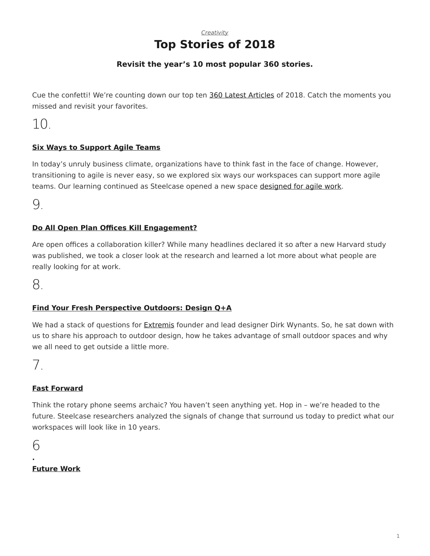## *[Creativity](https://www.steelcase.com/research/topics/creativity/)* **Top Stories of 2018**

## **Revisit the year's 10 most popular 360 stories.**

<span id="page-0-0"></span>Cue the confetti! We're counting down our top ten [360 Latest Articles](https://www.steelcase.com/research/articles/) of 2018. Catch the moments you missed and revisit your favorites.

10.

### **[Six Ways to Support Agile Teams](https://www.steelcase.com/research/articles/topics/agile/six-ways-support-agile-teams/)**

In today's unruly business climate, organizations have to think fast in the face of change. However, transitioning to agile is never easy, so we explored six ways our workspaces can support more agile teams. Our learning continued as Steelcase opened a new space [designed for agile work](https://www.steelcase.com/research/articles/topics/agile/agile-case-study/).

9.

### **[Do All Open Plan Offices Kill Engagement?](https://www.steelcase.com/research/articles/topics/collaboration/open-plan-offices-kill-collaboration/)**

Are open offices a collaboration killer? While many headlines declared it so after a new Harvard study was published, we took a closer look at the research and learned a lot more about what people are really looking for at work.

8.

### **[Find Your Fresh Perspective Outdoors: Design Q+A](https://www.steelcase.com/research/articles/topics/collaboration/find-fresh-perspective-outdoors-design-qa/)**

We had a stack of questions for **[Extremis](https://www.steelcase.com/village/news/new-partner-extremis-takes-us-outside/)** founder and lead designer Dirk Wynants. So, he sat down with us to share his approach to outdoor design, how he takes advantage of small outdoor spaces and why we all need to get outside a little more.

7.

### **[Fast Forward](https://www.steelcase.com/research/articles/topics/technology/fast-forward/)**

Think the rotary phone seems archaic? You haven't seen anything yet. Hop in – we're headed to the future. Steelcase researchers analyzed the signals of change that surround us today to predict what our workspaces will look like in 10 years.

6 **.**

## **[Future Work](https://www.steelcase.com/research/articles/topics/trends-360/future-work/)**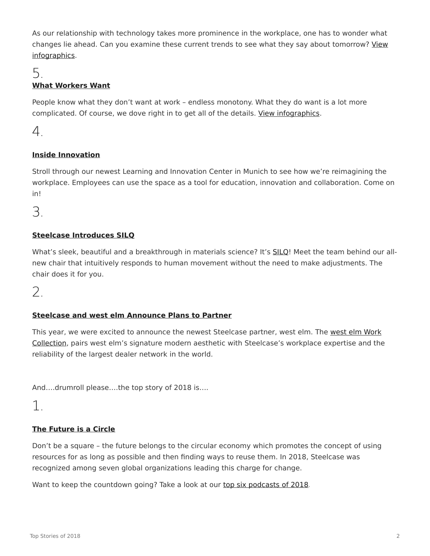As our relationship with technology takes more prominence in the workplace, one has to wonder what changes lie ahead. Can you examine these current trends to see what they say about tomorrow? [View](https://www.steelcase.com/research/articles/topics/trends-360/future-work/) [infographics.](https://www.steelcase.com/research/articles/topics/trends-360/future-work/)

# 5.

## **[What Workers Want](https://www.steelcase.com/research/articles/topics/trends-360/what-workers-want/)**

People know what they don't want at work – endless monotony. What they do want is a lot more complicated. Of course, we dove right in to get all of the details. [View infographics](https://www.steelcase.com/research/articles/topics/trends-360/what-workers-want/).

4.

### **[Inside Innovation](https://www.steelcase.com/research/articles/topics/innovation/inside-innovation/)**

Stroll through our newest Learning and Innovation Center in Munich to see how we're reimagining the workplace. Employees can use the space as a tool for education, innovation and collaboration. Come on in!

3.

### **[Steelcase Introduces SILQ](https://www.steelcase.com/research/articles/topics/office-chair/steelcase-introduces-silq-innovation-seating-design/)**

What's sleek, beautiful and a breakthrough in materials science? It's [SILQ](https://www.steelcase.com/products/office-chairs/silq/?utm_source=dotcom&utm_medium=podcast&utm_campaign=silq&utm_content=silq-podcast-1)! Meet the team behind our allnew chair that intuitively responds to human movement without the need to make adjustments. The chair does it for you.

2.

### **[Steelcase and west elm Announce Plans to Partner](https://www.steelcase.com/research/articles/topics/informal-spaces/steelcase-west-elm-announce-plans-partner/)**

This year, we were excited to announce the newest Steelcase partner, west elm. The [west elm Work](https://www.steelcase.com/research/articles/topics/brand/introducing-west-elm-work-collection/) [Collection,](https://www.steelcase.com/research/articles/topics/brand/introducing-west-elm-work-collection/) pairs west elm's signature modern aesthetic with Steelcase's workplace expertise and the reliability of the largest dealer network in the world.

And….drumroll please….the top story of 2018 is….

1.

### **[The Future is a Circle](https://www.steelcase.com/research/articles/topics/sustainability/steelcase-named-circulars-finalist/)**

Don't be a square – the future belongs to the circular economy which promotes the concept of using resources for as long as possible and then finding ways to reuse them. In 2018, Steelcase was recognized among seven global organizations leading this charge for change.

Want to keep the countdown going? Take a look at our [top six podcasts of 2018](https://www.steelcase.com/research/articles/topics/agile/top-six-podcasts-2018/).